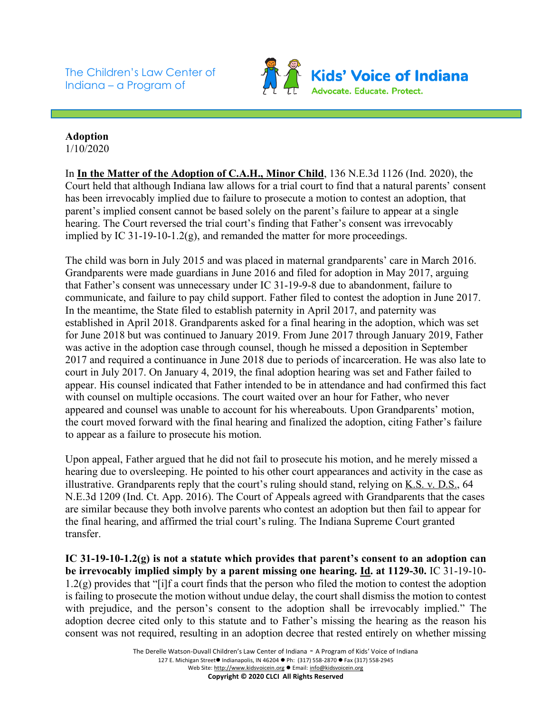The Children's Law Center of Indiana – a Program of



## **Adoption** 1/10/2020

In **In the Matter of the Adoption of C.A.H., Minor Child**, 136 N.E.3d 1126 (Ind. 2020), the Court held that although Indiana law allows for a trial court to find that a natural parents' consent has been irrevocably implied due to failure to prosecute a motion to contest an adoption, that parent's implied consent cannot be based solely on the parent's failure to appear at a single hearing. The Court reversed the trial court's finding that Father's consent was irrevocably implied by IC 31-19-10-1.2(g), and remanded the matter for more proceedings.

The child was born in July 2015 and was placed in maternal grandparents' care in March 2016. Grandparents were made guardians in June 2016 and filed for adoption in May 2017, arguing that Father's consent was unnecessary under IC 31-19-9-8 due to abandonment, failure to communicate, and failure to pay child support. Father filed to contest the adoption in June 2017. In the meantime, the State filed to establish paternity in April 2017, and paternity was established in April 2018. Grandparents asked for a final hearing in the adoption, which was set for June 2018 but was continued to January 2019. From June 2017 through January 2019, Father was active in the adoption case through counsel, though he missed a deposition in September 2017 and required a continuance in June 2018 due to periods of incarceration. He was also late to court in July 2017. On January 4, 2019, the final adoption hearing was set and Father failed to appear. His counsel indicated that Father intended to be in attendance and had confirmed this fact with counsel on multiple occasions. The court waited over an hour for Father, who never appeared and counsel was unable to account for his whereabouts. Upon Grandparents' motion, the court moved forward with the final hearing and finalized the adoption, citing Father's failure to appear as a failure to prosecute his motion.

Upon appeal, Father argued that he did not fail to prosecute his motion, and he merely missed a hearing due to oversleeping. He pointed to his other court appearances and activity in the case as illustrative. Grandparents reply that the court's ruling should stand, relying on K.S. v. D.S., 64 N.E.3d 1209 (Ind. Ct. App. 2016). The Court of Appeals agreed with Grandparents that the cases are similar because they both involve parents who contest an adoption but then fail to appear for the final hearing, and affirmed the trial court's ruling. The Indiana Supreme Court granted transfer.

**IC 31-19-10-1.2(g) is not a statute which provides that parent's consent to an adoption can be irrevocably implied simply by a parent missing one hearing. Id. at 1129-30.** IC 31-19-10- 1.2(g) provides that "[i]f a court finds that the person who filed the motion to contest the adoption is failing to prosecute the motion without undue delay, the court shall dismiss the motion to contest with prejudice, and the person's consent to the adoption shall be irrevocably implied." The adoption decree cited only to this statute and to Father's missing the hearing as the reason his consent was not required, resulting in an adoption decree that rested entirely on whether missing

> The Derelle Watson-Duvall Children's Law Center of Indiana - A Program of Kids' Voice of Indiana 127 E. Michigan Street● Indianapolis, IN 46204 ● Ph: (317) 558-2870 ● Fax (317) 558-2945 Web Site: http://www.kidsvoicein.org ● Email: info@kidsvoicein.org